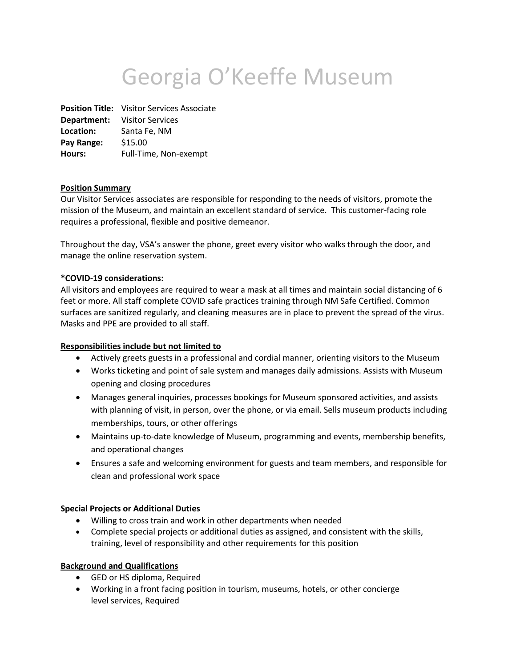# Georgia O'Keeffe Museum

**Position Title:** Visitor Services Associate **Department:** Visitor Services **Location:** Santa Fe, NM **Pay Range:** \$15.00 **Hours:** Full-Time, Non-exempt

## **Position Summary**

Our Visitor Services associates are responsible for responding to the needs of visitors, promote the mission of the Museum, and maintain an excellent standard of service. This customer-facing role requires a professional, flexible and positive demeanor.

Throughout the day, VSA's answer the phone, greet every visitor who walks through the door, and manage the online reservation system.

#### **\*COVID-19 considerations:**

All visitors and employees are required to wear a mask at all times and maintain social distancing of 6 feet or more. All staff complete COVID safe practices training through NM Safe Certified. Common surfaces are sanitized regularly, and cleaning measures are in place to prevent the spread of the virus. Masks and PPE are provided to all staff.

## **Responsibilities include but not limited to**

- Actively greets guests in a professional and cordial manner, orienting visitors to the Museum
- Works ticketing and point of sale system and manages daily admissions. Assists with Museum opening and closing procedures
- Manages general inquiries, processes bookings for Museum sponsored activities, and assists with planning of visit, in person, over the phone, or via email. Sells museum products including memberships, tours, or other offerings
- Maintains up-to-date knowledge of Museum, programming and events, membership benefits, and operational changes
- Ensures a safe and welcoming environment for guests and team members, and responsible for clean and professional work space

## **Special Projects or Additional Duties**

- Willing to cross train and work in other departments when needed
- Complete special projects or additional duties as assigned, and consistent with the skills, training, level of responsibility and other requirements for this position

## **Background and Qualifications**

- GED or HS diploma, Required
- Working in a front facing position in tourism, museums, hotels, or other concierge level services, Required